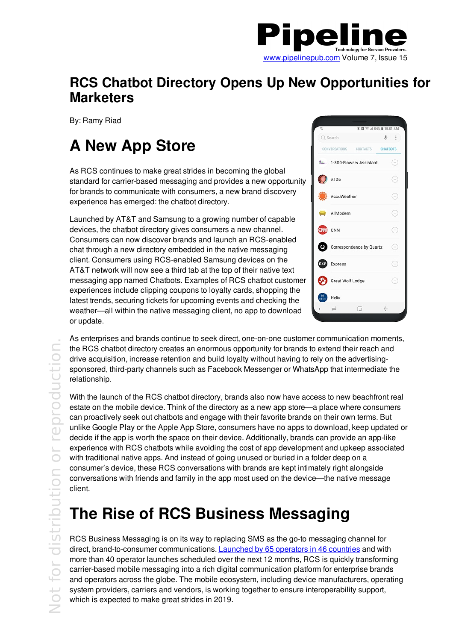

#### **RCS Chatbot Directory Opens Up New Opportunities for Marketers**

By: Ramy Riad

# **A New App Store**

As RCS continues to make great strides in becoming the global standard for carrier-based messaging and provides a new opportunity for brands to communicate with consumers, a new brand discovery experience has emerged: the chatbot directory.

Launched by AT&T and Samsung to a growing number of capable devices, the chatbot directory gives consumers a new channel. Consumers can now discover brands and launch an RCS-enabled chat through a new directory embedded in the native messaging client. Consumers using RCS-enabled Samsung devices on the AT&T network will now see a third tab at the top of their native text messaging app named Chatbots. Examples of RCS chatbot customer experiences include clipping coupons to loyalty cards, shopping the latest trends, securing tickets for upcoming events and checking the weather—all within the native messaging client, no app to download or update.

| ą                  |                      | <b>% RI ® ⊿I 84% B 10:01 AM</b> |                |                                                                                                                                   |
|--------------------|----------------------|---------------------------------|----------------|-----------------------------------------------------------------------------------------------------------------------------------|
| Q Search           |                      |                                 | $\mathbb{L}$ : |                                                                                                                                   |
|                    |                      | CONVERSATIONS CONTACTS CHATBOTS |                |                                                                                                                                   |
|                    |                      | 1-800-Flowers Assistant         |                | $^{(+)}$                                                                                                                          |
| Al Zo              |                      |                                 |                | $^{(+)}$                                                                                                                          |
|                    | AccuWeather          |                                 |                | Ŧ                                                                                                                                 |
|                    | AllModern            |                                 |                | $\begin{array}{c} \begin{array}{c} \begin{array}{c} \begin{array}{c} \end{array} \end{array} \end{array} \end{array} \end{array}$ |
| CW CNN             |                      |                                 |                |                                                                                                                                   |
|                    |                      | Correspondence by Quartz        |                |                                                                                                                                   |
| <b>EXP</b> Express |                      |                                 |                |                                                                                                                                   |
| 63                 | Great Wolf Lodge     |                                 |                | ₩                                                                                                                                 |
|                    | Helix                |                                 |                |                                                                                                                                   |
|                    | $\rightleftharpoons$ | Π                               | $\leftarrow$   |                                                                                                                                   |

As enterprises and brands continue to seek direct, one-on-one customer communication moments, the RCS chatbot directory creates an enormous opportunity for brands to extend their reach and drive acquisition, increase retention and build loyalty without having to rely on the advertisingsponsored, third-party channels such as Facebook Messenger or WhatsApp that intermediate the relationship.

With the launch of the RCS chatbot directory, brands also now have access to new beachfront real estate on the mobile device. Think of the directory as a new app store—a place where consumers can proactively seek out chatbots and engage with their favorite brands on their own terms. But unlike Google Play or the Apple App Store, consumers have no apps to download, keep updated or decide if the app is worth the space on their device. Additionally, brands can provide an app-like experience with RCS chatbots while avoiding the cost of app development and upkeep associated with traditional native apps. And instead of going unused or buried in a folder deep on a consumer's device, these RCS conversations with brands are kept intimately right alongside conversations with friends and family in the app most used on the device—the native message client.

## **The Rise of RCS Business Messaging**

RCS Business Messaging is on its way to replacing SMS as the go-to messaging channel for direct, brand-to-consumer communications. Launched by 65 operators in 46 countries and with more than 40 operator launches scheduled over the next 12 months, RCS is quickly transforming carrier-based mobile messaging into a rich digital communication platform for enterprise brands and operators across the globe. The mobile ecosystem, including device manufacturers, operating system providers, carriers and vendors, is working together to ensure interoperability support, which is expected to make great strides in 2019.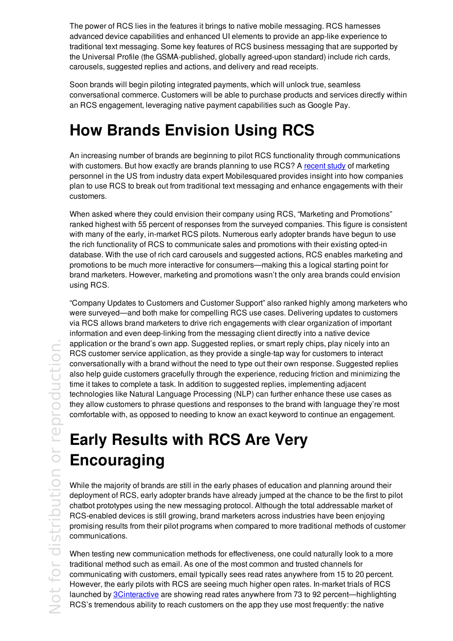The power of RCS lies in the features it brings to native mobile messaging. RCS harnesses advanced device capabilities and enhanced UI elements to provide an app-like experience to traditional text messaging. Some key features of RCS business messaging that are supported by the Universal Profile (the GSMA-published, globally agreed-upon standard) include rich cards, carousels, suggested replies and actions, and delivery and read receipts.

Soon brands will begin piloting integrated payments, which will unlock true, seamless conversational commerce. Customers will be able to purchase products and services directly within an RCS engagement, leveraging native payment capabilities such as Google Pay.

## **How Brands Envision Using RCS**

An increasing number of brands are beginning to pilot RCS functionality through communications with customers. But how exactly are brands planning to use RCS? A recent study of marketing personnel in the US from industry data expert Mobilesquared provides insight into how companies plan to use RCS to break out from traditional text messaging and enhance engagements with their customers.

When asked where they could envision their company using RCS, "Marketing and Promotions" ranked highest with 55 percent of responses from the surveyed companies. This figure is consistent with many of the early, in-market RCS pilots. Numerous early adopter brands have begun to use the rich functionality of RCS to communicate sales and promotions with their existing opted-in database. With the use of rich card carousels and suggested actions, RCS enables marketing and promotions to be much more interactive for consumers—making this a logical starting point for brand marketers. However, marketing and promotions wasn't the only area brands could envision using RCS.

"Company Updates to Customers and Customer Support" also ranked highly among marketers who were surveyed—and both make for compelling RCS use cases. Delivering updates to customers via RCS allows brand marketers to drive rich engagements with clear organization of important information and even deep-linking from the messaging client directly into a native device application or the brand's own app. Suggested replies, or smart reply chips, play nicely into an RCS customer service application, as they provide a single-tap way for customers to interact conversationally with a brand without the need to type out their own response. Suggested replies also help guide customers gracefully through the experience, reducing friction and minimizing the time it takes to complete a task. In addition to suggested replies, implementing adjacent technologies like Natural Language Processing (NLP) can further enhance these use cases as they allow customers to phrase questions and responses to the brand with language they're most comfortable with, as opposed to needing to know an exact keyword to continue an engagement.

## **Early Results with RCS Are Very Encouraging**

While the majority of brands are still in the early phases of education and planning around their deployment of RCS, early adopter brands have already jumped at the chance to be the first to pilot chatbot prototypes using the new messaging protocol. Although the total addressable market of RCS-enabled devices is still growing, brand marketers across industries have been enjoying promising results from their pilot programs when compared to more traditional methods of customer communications.

When testing new communication methods for effectiveness, one could naturally look to a more traditional method such as email. As one of the most common and trusted channels for communicating with customers, email typically sees read rates anywhere from 15 to 20 percent. However, the early pilots with RCS are seeing much higher open rates. In-market trials of RCS launched by 3Cinteractive are showing read rates anywhere from 73 to 92 percent—highlighting RCS's tremendous ability to reach customers on the app they use most frequently: the native